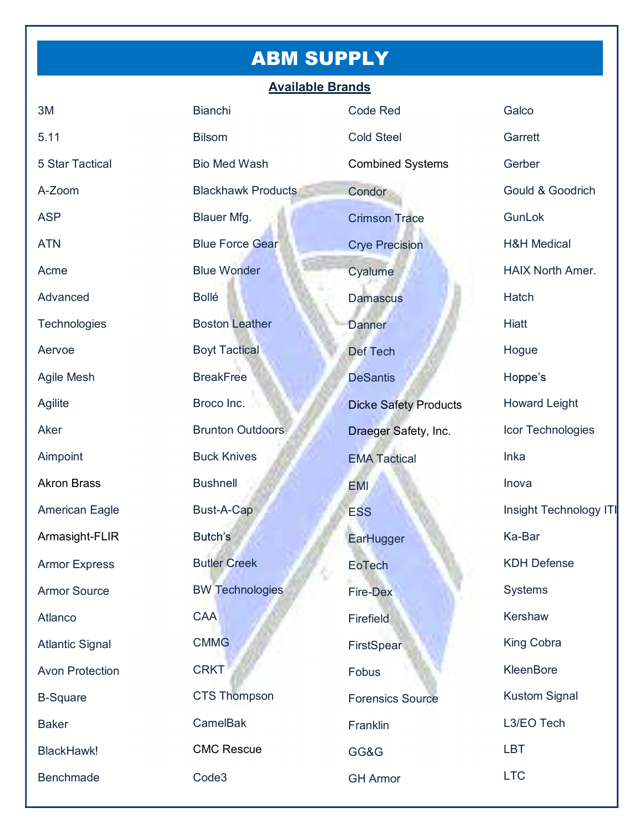# ABM SUPPLY

#### Available Brands

| 3M                     | <b>Bianchi</b>            | <b>Code Red</b>              | Galco                   |
|------------------------|---------------------------|------------------------------|-------------------------|
| 5.11                   | <b>Bilsom</b>             | <b>Cold Steel</b>            | Garrett                 |
| 5 Star Tactical        | <b>Bio Med Wash</b>       | <b>Combined Systems</b>      | Gerber                  |
| A-Zoom                 | <b>Blackhawk Products</b> | Condor                       | Gould & Goodrich        |
| <b>ASP</b>             | Blauer Mfg.               | <b>Crimson Trace</b>         | GunLok                  |
| <b>ATN</b>             | <b>Blue Force Gear</b>    | <b>Crye Precision</b>        | <b>H&amp;H Medical</b>  |
| Acme                   | <b>Blue Wonder</b>        | Cyalume                      | <b>HAIX North Amer.</b> |
| Advanced               | Bollé                     | <b>Damascus</b>              | Hatch                   |
| Technologies           | <b>Boston Leather</b>     | Danner                       | Hiatt                   |
| Aervoe                 | <b>Boyt Tactical</b>      | <b>Def Tech</b>              | Hogue                   |
| <b>Agile Mesh</b>      | <b>BreakFree</b>          | <b>DeSantis</b>              | Hoppe's                 |
| Agilite                | Broco Inc.                | <b>Dicke Safety Products</b> | <b>Howard Leight</b>    |
| Aker                   | <b>Brunton Outdoors</b>   | Draeger Safety, Inc.         | Icor Technologies       |
| Aimpoint               | <b>Buck Knives</b>        | <b>EMA Tactical</b>          | Inka                    |
| <b>Akron Brass</b>     | <b>Bushnell</b>           | <b>EMI</b>                   | Inova                   |
| <b>American Eagle</b>  | Bust-A-Cap                | <b>ESS</b>                   | Insight Technology ITI  |
| Armasight-FLIR         | Butch's                   | EarHugger                    | Ka-Bar                  |
| <b>Armor Express</b>   | <b>Butler Creek</b><br>S  | <b>EoTech</b>                | <b>KDH Defense</b>      |
| <b>Armor Source</b>    | <b>BW Technologies</b>    | <b>Fire-Dex</b>              | Systems                 |
| Atlanco                | <b>CAA</b>                | Firefield                    | <b>Kershaw</b>          |
|                        |                           |                              |                         |
| <b>Atlantic Signal</b> | <b>CMMG</b>               | FirstSpear                   | King Cobra              |
| <b>Avon Protection</b> | <b>CRKT</b>               | Fobus                        | KleenBore               |
| <b>B-Square</b>        | <b>CTS Thompson</b>       | <b>Forensics Source</b>      | <b>Kustom Signal</b>    |
| <b>Baker</b>           | CamelBak                  | Franklin                     | L3/EO Tech              |
| BlackHawk!             | <b>CMC Rescue</b>         | GG&G                         | <b>LBT</b>              |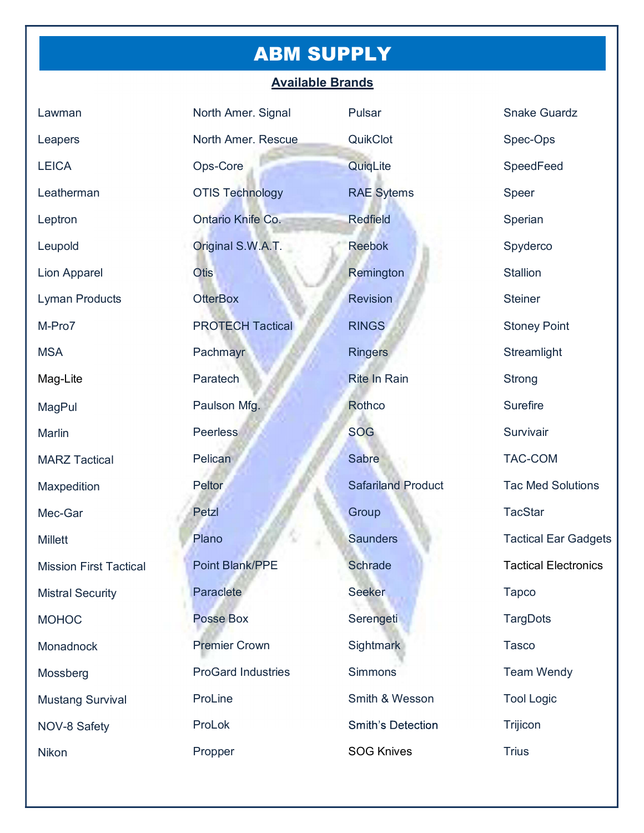### ABM SUPPLY

#### Available Brands

| Lawman                        | North Amer. Signal        | Pulsar                    | <b>Snake Guardz</b>         |
|-------------------------------|---------------------------|---------------------------|-----------------------------|
| Leapers                       | North Amer. Rescue        | QuikClot                  | Spec-Ops                    |
| <b>LEICA</b>                  | Ops-Core                  | QuiqLite                  | SpeedFeed                   |
| Leatherman                    | <b>OTIS Technology</b>    | <b>RAE</b> Sytems         | Speer                       |
| Leptron                       | Ontario Knife Co.         | <b>Redfield</b>           | Sperian                     |
| Leupold                       | Original S.W.A.T.         | <b>Reebok</b>             | Spyderco                    |
| <b>Lion Apparel</b>           | <b>Otis</b>               | Remington                 | <b>Stallion</b>             |
| <b>Lyman Products</b>         | <b>OtterBox</b>           | <b>Revision</b>           | <b>Steiner</b>              |
| M-Pro7                        | <b>PROTECH Tactical</b>   | <b>RINGS</b>              | <b>Stoney Point</b>         |
| <b>MSA</b>                    | Pachmayr                  | <b>Ringers</b>            | Streamlight                 |
| Mag-Lite                      | Paratech                  | <b>Rite In Rain</b>       | <b>Strong</b>               |
| <b>MagPul</b>                 | Paulson Mfg.              | Rothco                    | <b>Surefire</b>             |
| Marlin                        | <b>Peerless</b>           | <b>SOG</b>                | Survivair                   |
| <b>MARZ Tactical</b>          | Pelican                   | Sabre                     | <b>TAC-COM</b>              |
| Maxpedition                   | Peltor                    | <b>Safariland Product</b> | <b>Tac Med Solutions</b>    |
| Mec-Gar                       | Petzl                     | Group                     | <b>TacStar</b>              |
| <b>Millett</b>                | Plano                     | <b>Saunders</b>           | <b>Tactical Ear Gadgets</b> |
| <b>Mission First Tactical</b> | <b>Point Blank/PPE</b>    | <b>Schrade</b>            | <b>Tactical Electronics</b> |
| <b>Mistral Security</b>       | Paraclete                 | <b>Seeker</b>             | <b>Tapco</b>                |
| <b>MOHOC</b>                  | <b>Posse Box</b>          | Serengeti                 | <b>TargDots</b>             |
| Monadnock                     | <b>Premier Crown</b>      | Sightmark                 | <b>Tasco</b>                |
| Mossberg                      | <b>ProGard Industries</b> | Simmons                   | <b>Team Wendy</b>           |
| <b>Mustang Survival</b>       | ProLine                   | Smith & Wesson            | <b>Tool Logic</b>           |
| NOV-8 Safety                  | ProLok                    | <b>Smith's Detection</b>  | Trijicon                    |
| Nikon                         | Propper                   | <b>SOG Knives</b>         | <b>Trius</b>                |